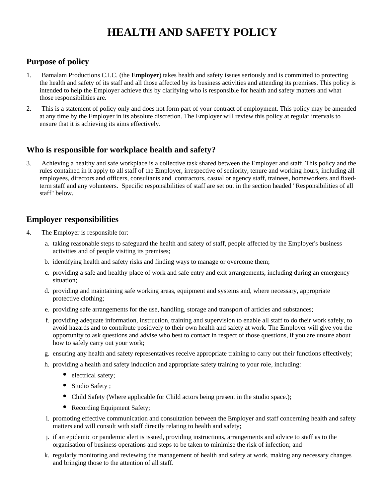# **HEALTH AND SAFETY POLICY**

# **Purpose of policy**

- 1. Bamalam Productions C.I.C. (the **Employer**) takes health and safety issues seriously and is committed to protecting the health and safety of its staff and all those affected by its business activities and attending its premises. This policy is intended to help the Employer achieve this by clarifying who is responsible for health and safety matters and what those responsibilities are.
- 2. This is a statement of policy only and does not form part of your contract of employment. This policy may be amended at any time by the Employer in its absolute discretion. The Employer will review this policy at regular intervals to ensure that it is achieving its aims effectively.

## **Who is responsible for workplace health and safety?**

3. Achieving a healthy and safe workplace is a collective task shared between the Employer and staff. This policy and the rules contained in it apply to all staff of the Employer, irrespective of seniority, tenure and working hours, including all employees, directors and officers, consultants and contractors, casual or agency staff, trainees, homeworkers and fixedterm staff and any volunteers. Specific responsibilities of staff are set out in the section headed "Responsibilities of all staff" below.

### **Employer responsibilities**

- 4. The Employer is responsible for:
	- a. taking reasonable steps to safeguard the health and safety of staff, people affected by the Employer's business activities and of people visiting its premises;
	- b. identifying health and safety risks and finding ways to manage or overcome them;
	- c. providing a safe and healthy place of work and safe entry and exit arrangements, including during an emergency situation;
	- d. providing and maintaining safe working areas, equipment and systems and, where necessary, appropriate protective clothing;
	- e. providing safe arrangements for the use, handling, storage and transport of articles and substances;
	- f. providing adequate information, instruction, training and supervision to enable all staff to do their work safely, to avoid hazards and to contribute positively to their own health and safety at work. The Employer will give you the opportunity to ask questions and advise who best to contact in respect of those questions, if you are unsure about how to safely carry out your work;
	- g. ensuring any health and safety representatives receive appropriate training to carry out their functions effectively;
	- h. providing a health and safety induction and appropriate safety training to your role, including:
		- electrical safety;
		- Studio Safety ;
		- Child Safety (Where applicable for Child actors being present in the studio space.);
		- Recording Equipment Safety;
	- i. promoting effective communication and consultation between the Employer and staff concerning health and safety matters and will consult with staff directly relating to health and safety;
	- j. if an epidemic or pandemic alert is issued, providing instructions, arrangements and advice to staff as to the organisation of business operations and steps to be taken to minimise the risk of infection; and
	- k. regularly monitoring and reviewing the management of health and safety at work, making any necessary changes and bringing those to the attention of all staff.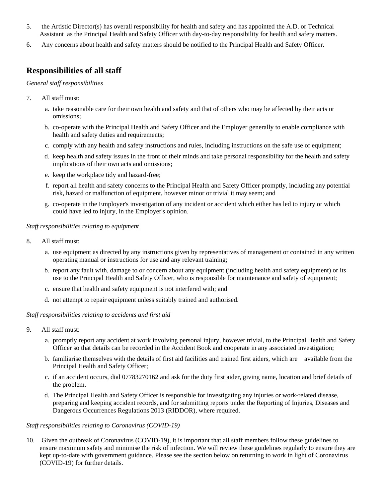- 5. the Artistic Director(s) has overall responsibility for health and safety and has appointed the A.D. or Technical Assistant as the Principal Health and Safety Officer with day-to-day responsibility for health and safety matters.
- 6. Any concerns about health and safety matters should be notified to the Principal Health and Safety Officer.

## **Responsibilities of all staff**

*General staff responsibilities*

- 7. All staff must:
	- a. take reasonable care for their own health and safety and that of others who may be affected by their acts or omissions;
	- b. co-operate with the Principal Health and Safety Officer and the Employer generally to enable compliance with health and safety duties and requirements;
	- c. comply with any health and safety instructions and rules, including instructions on the safe use of equipment;
	- d. keep health and safety issues in the front of their minds and take personal responsibility for the health and safety implications of their own acts and omissions;
	- e. keep the workplace tidy and hazard-free;
	- f. report all health and safety concerns to the Principal Health and Safety Officer promptly, including any potential risk, hazard or malfunction of equipment, however minor or trivial it may seem; and
	- g. co-operate in the Employer's investigation of any incident or accident which either has led to injury or which could have led to injury, in the Employer's opinion.

### *Staff responsibilities relating to equipment*

- 8. All staff must:
	- a. use equipment as directed by any instructions given by representatives of management or contained in any written operating manual or instructions for use and any relevant training;
	- b. report any fault with, damage to or concern about any equipment (including health and safety equipment) or its use to the Principal Health and Safety Officer, who is responsible for maintenance and safety of equipment;
	- c. ensure that health and safety equipment is not interfered with; and
	- d. not attempt to repair equipment unless suitably trained and authorised.

### *Staff responsibilities relating to accidents and first aid*

- 9. All staff must:
	- a. promptly report any accident at work involving personal injury, however trivial, to the Principal Health and Safety Officer so that details can be recorded in the Accident Book and cooperate in any associated investigation;
	- b. familiarise themselves with the details of first aid facilities and trained first aiders, which are available from the Principal Health and Safety Officer;
	- c. if an accident occurs, dial 07783270162 and ask for the duty first aider, giving name, location and brief details of the problem.
	- d. The Principal Health and Safety Officer is responsible for investigating any injuries or work-related disease, preparing and keeping accident records, and for submitting reports under the Reporting of Injuries, Diseases and Dangerous Occurrences Regulations 2013 (RIDDOR), where required.

### *Staff responsibilities relating to Coronavirus (COVID-19)*

10. Given the outbreak of Coronavirus (COVID-19), it is important that all staff members follow these guidelines to ensure maximum safety and minimise the risk of infection. We will review these guidelines regularly to ensure they are kept up-to-date with government guidance. Please see the section below on returning to work in light of Coronavirus (COVID-19) for further details.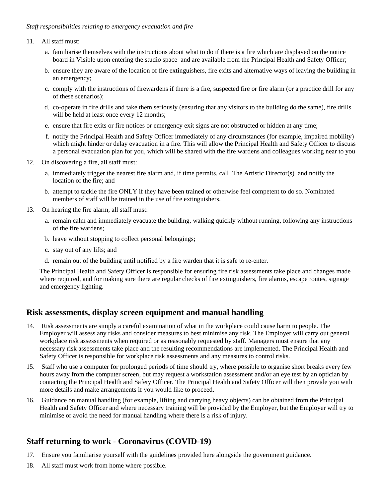### *Staff responsibilities relating to emergency evacuation and fire*

#### 11. All staff must:

- a. familiarise themselves with the instructions about what to do if there is a fire which are displayed on the notice board in Visible upon entering the studio space and are available from the Principal Health and Safety Officer;
- b. ensure they are aware of the location of fire extinguishers, fire exits and alternative ways of leaving the building in an emergency;
- c. comply with the instructions of firewardens if there is a fire, suspected fire or fire alarm (or a practice drill for any of these scenarios);
- d. co-operate in fire drills and take them seriously (ensuring that any visitors to the building do the same), fire drills will be held at least once every 12 months;
- e. ensure that fire exits or fire notices or emergency exit signs are not obstructed or hidden at any time;
- f. notify the Principal Health and Safety Officer immediately of any circumstances (for example, impaired mobility) which might hinder or delay evacuation in a fire. This will allow the Principal Health and Safety Officer to discuss a personal evacuation plan for you, which will be shared with the fire wardens and colleagues working near to you
- 12. On discovering a fire, all staff must:
	- a. immediately trigger the nearest fire alarm and, if time permits, call The Artistic Director(s) and notify the location of the fire; and
	- b. attempt to tackle the fire ONLY if they have been trained or otherwise feel competent to do so. Nominated members of staff will be trained in the use of fire extinguishers.
- 13. On hearing the fire alarm, all staff must:
	- a. remain calm and immediately evacuate the building, walking quickly without running, following any instructions of the fire wardens;
	- b. leave without stopping to collect personal belongings;
	- c. stay out of any lifts; and
	- d. remain out of the building until notified by a fire warden that it is safe to re-enter.

The Principal Health and Safety Officer is responsible for ensuring fire risk assessments take place and changes made where required, and for making sure there are regular checks of fire extinguishers, fire alarms, escape routes, signage and emergency lighting.

### **Risk assessments, display screen equipment and manual handling**

- 14. Risk assessments are simply a careful examination of what in the workplace could cause harm to people. The Employer will assess any risks and consider measures to best minimise any risk. The Employer will carry out general workplace risk assessments when required or as reasonably requested by staff. Managers must ensure that any necessary risk assessments take place and the resulting recommendations are implemented. The Principal Health and Safety Officer is responsible for workplace risk assessments and any measures to control risks.
- 15. Staff who use a computer for prolonged periods of time should try, where possible to organise short breaks every few hours away from the computer screen, but may request a workstation assessment and/or an eye test by an optician by contacting the Principal Health and Safety Officer. The Principal Health and Safety Officer will then provide you with more details and make arrangements if you would like to proceed.
- 16. Guidance on manual handling (for example, lifting and carrying heavy objects) can be obtained from the Principal Health and Safety Officer and where necessary training will be provided by the Employer, but the Employer will try to minimise or avoid the need for manual handling where there is a risk of injury.

# **Staff returning to work - Coronavirus (COVID-19)**

- 17. Ensure you familiarise yourself with the guidelines provided here alongside the government guidance.
- 18. All staff must work from home where possible.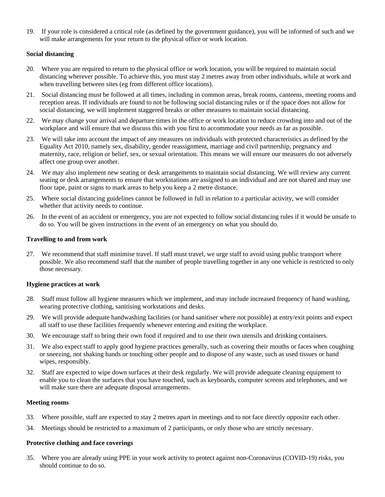19. If your role is considered a critical role (as defined by the government guidance), you will be informed of such and we will make arrangements for your return to the physical office or work location.

### **Social distancing**

- 20. Where you are required to return to the physical office or work location, you will be required to maintain social distancing wherever possible. To achieve this, you must stay 2 metres away from other individuals, while at work and when travelling between sites (eg from different office locations).
- 21. Social distancing must be followed at all times, including in common areas, break rooms, canteens, meeting rooms and reception areas. If individuals are found to not be following social distancing rules or if the space does not allow for social distancing, we will implement staggered breaks or other measures to maintain social distancing.
- 22. We may change your arrival and departure times in the office or work location to reduce crowding into and out of the workplace and will ensure that we discuss this with you first to accommodate your needs as far as possible.
- 23. We will take into account the impact of any measures on individuals with protected characteristics as defined by the Equality Act 2010, namely sex, disability, gender reassignment, marriage and civil partnership, pregnancy and maternity, race, religion or belief, sex, or sexual orientation. This means we will ensure our measures do not adversely affect one group over another.
- 24. We may also implement new seating or desk arrangements to maintain social distancing. We will review any current seating or desk arrangements to ensure that workstations are assigned to an individual and are not shared and may use floor tape, paint or signs to mark areas to help you keep a 2 metre distance.
- 25. Where social distancing guidelines cannot be followed in full in relation to a particular activity, we will consider whether that activity needs to continue.
- 26. In the event of an accident or emergency, you are not expected to follow social distancing rules if it would be unsafe to do so. You will be given instructions in the event of an emergency on what you should do.

### **Travelling to and from work**

27. We recommend that staff minimise travel. If staff must travel, we urge staff to avoid using public transport where possible. We also recommend staff that the number of people travelling together in any one vehicle is restricted to only those necessary.

#### **Hygiene practices at work**

- 28. Staff must follow all hygiene measures which we implement, and may include increased frequency of hand washing, wearing protective clothing, sanitising workstations and desks.
- 29. We will provide adequate handwashing facilities (or hand sanitiser where not possible) at entry/exit points and expect all staff to use these facilities frequently whenever entering and exiting the workplace.
- 30. We encourage staff to bring their own food if required and to use their own utensils and drinking containers.
- 31. We also expect staff to apply good hygiene practices generally, such as covering their mouths or faces when coughing or sneezing, not shaking hands or touching other people and to dispose of any waste, such as used tissues or hand wipes, responsibly.
- 32. Staff are expected to wipe down surfaces at their desk regularly. We will provide adequate cleaning equipment to enable you to clean the surfaces that you have touched, such as keyboards, computer screens and telephones, and we will make sure there are adequate disposal arrangements.

#### **Meeting rooms**

- 33. Where possible, staff are expected to stay 2 metres apart in meetings and to not face directly opposite each other.
- 34. Meetings should be restricted to a maximum of 2 participants, or only those who are strictly necessary.

#### **Protective clothing and face coverings**

35. Where you are already using PPE in your work activity to protect against non-Coronavirus (COVID-19) risks, you should continue to do so.